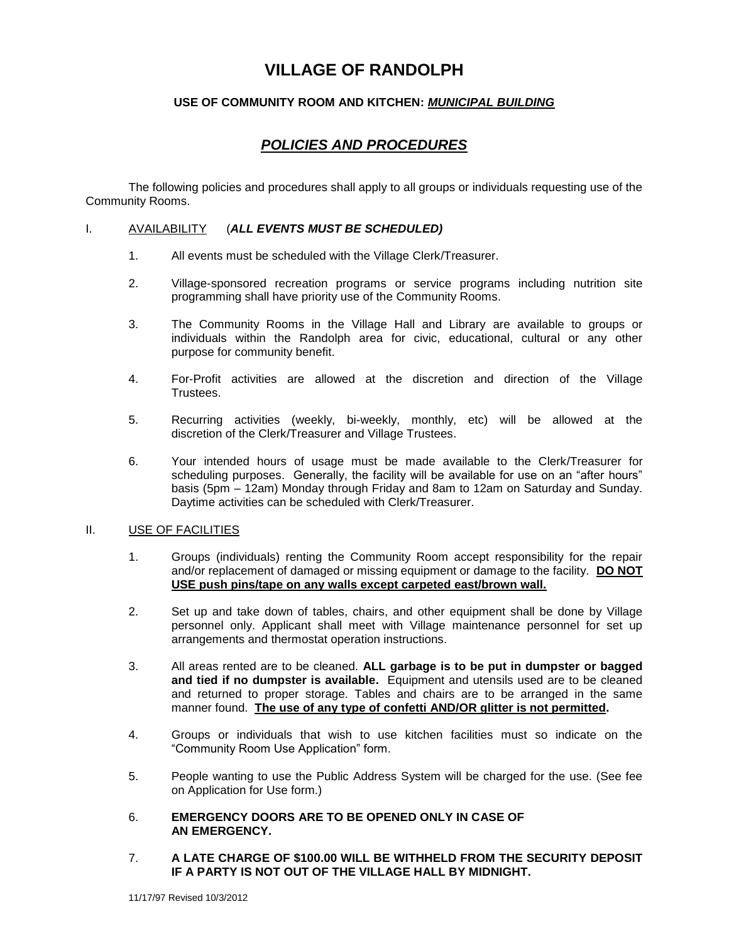# **VILLAGE OF RANDOLPH**

## **USE OF COMMUNITY ROOM AND KITCHEN:** *MUNICIPAL BUILDING*

# *POLICIES AND PROCEDURES*

The following policies and procedures shall apply to all groups or individuals requesting use of the Community Rooms.

#### I. AVAILABILITY (*ALL EVENTS MUST BE SCHEDULED)*

- 1. All events must be scheduled with the Village Clerk/Treasurer.
- 2. Village-sponsored recreation programs or service programs including nutrition site programming shall have priority use of the Community Rooms.
- 3. The Community Rooms in the Village Hall and Library are available to groups or individuals within the Randolph area for civic, educational, cultural or any other purpose for community benefit.
- 4. For-Profit activities are allowed at the discretion and direction of the Village Trustees.
- 5. Recurring activities (weekly, bi-weekly, monthly, etc) will be allowed at the discretion of the Clerk/Treasurer and Village Trustees.
- 6. Your intended hours of usage must be made available to the Clerk/Treasurer for scheduling purposes. Generally, the facility will be available for use on an "after hours" basis (5pm – 12am) Monday through Friday and 8am to 12am on Saturday and Sunday. Daytime activities can be scheduled with Clerk/Treasurer.

#### II. USE OF FACILITIES

- 1. Groups (individuals) renting the Community Room accept responsibility for the repair and/or replacement of damaged or missing equipment or damage to the facility. **DO NOT USE push pins/tape on any walls except carpeted east/brown wall.**
- 2. Set up and take down of tables, chairs, and other equipment shall be done by Village personnel only. Applicant shall meet with Village maintenance personnel for set up arrangements and thermostat operation instructions.
- 3. All areas rented are to be cleaned. **ALL garbage is to be put in dumpster or bagged and tied if no dumpster is available.** Equipment and utensils used are to be cleaned and returned to proper storage. Tables and chairs are to be arranged in the same manner found. **The use of any type of confetti AND/OR glitter is not permitted.**
- 4. Groups or individuals that wish to use kitchen facilities must so indicate on the "Community Room Use Application" form.
- 5. People wanting to use the Public Address System will be charged for the use. (See fee on Application for Use form.)
- 6. **EMERGENCY DOORS ARE TO BE OPENED ONLY IN CASE OF AN EMERGENCY.**
- 7. **A LATE CHARGE OF \$100.00 WILL BE WITHHELD FROM THE SECURITY DEPOSIT IF A PARTY IS NOT OUT OF THE VILLAGE HALL BY MIDNIGHT.**